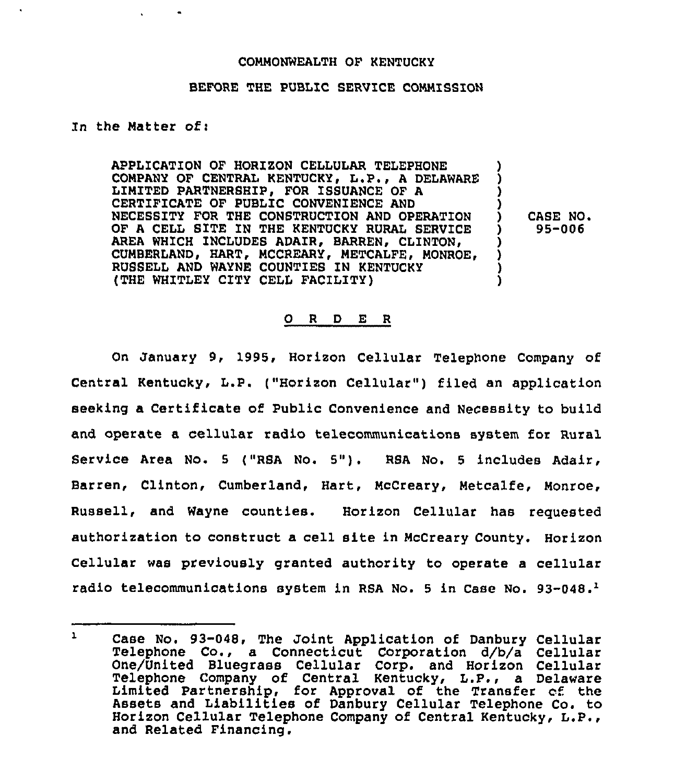### COMMONWEALTH OF KENTUCKY

## BEFORE THE PUBLIC SERVICE COMMISSION

#### Zn the Matter of:

APPLICATION OF HORIZON CELLULAR TELEPHONE COMPANY OF CENTRAL KENTUCKY, L.P., <sup>A</sup> DELAWARE LIMITED PARTNERSHIP, FOR ISSUANCE OF A CERTIFICATE OF PUBLIC CONVENIENCE AND NECESSITY FOR THE CONSTRUCTION AND OPERATION OF A CELL SITE IN THE KENTUCKY RURAL SERVICE AREA WHICH INCLUDES ADAIR, BARREN, CLINTON, CUMBERLAND, HART, MCCREARY, METCALFE, MONROE, RUSSELL AND WAYNE COUNTIES IN KENTUCKY (THE WHZTLEX CITY CELL FACILITY) ) ) ) ) ) CASE NO. ) 95-006 ) ) ) )

#### ORDER

On January 9, 1995, Horizon Cellular Telephone Company of Central Kentucky, L.P. ("Horizon Cellular") filed an application seeking a Certificate of Public Convenience and NeCessity to build and operate a cellular radio telecommunications system for Rural Service Area No. <sup>5</sup> ("RSA No. 5"). RSA No. <sup>5</sup> includes Adair, Barren, Clinton, Cumberland, Hart, Mccreary, Metcalfe, Monroe, Russell, and Wayne counties. Horizon Cellular has reguested authorization to construct a cell site in McCreary County. Horizon Cellular was previously granted authority to operate a cellular radio telecommunications system in RSA No. 5 in Case No. 93-048.<sup>1</sup>

 $\mathbf{1}$ Case No. 93-048, The Joint Application of Danbury Cellular Telephone Co., a Connecticut Corporation d/b/a Cellula One/United Bluegrass Cellular Corp. and Horizon Cellular Telephone Company of Central Kentucky, L.P., a Delaware Limited Partnership, for Approval of the Transfer cf the Assets and Liabilities of Danbury Cellular Telephone Co. to Horizon Cellular Telephone Company of Central Kentucky, L.P., and Related Financing.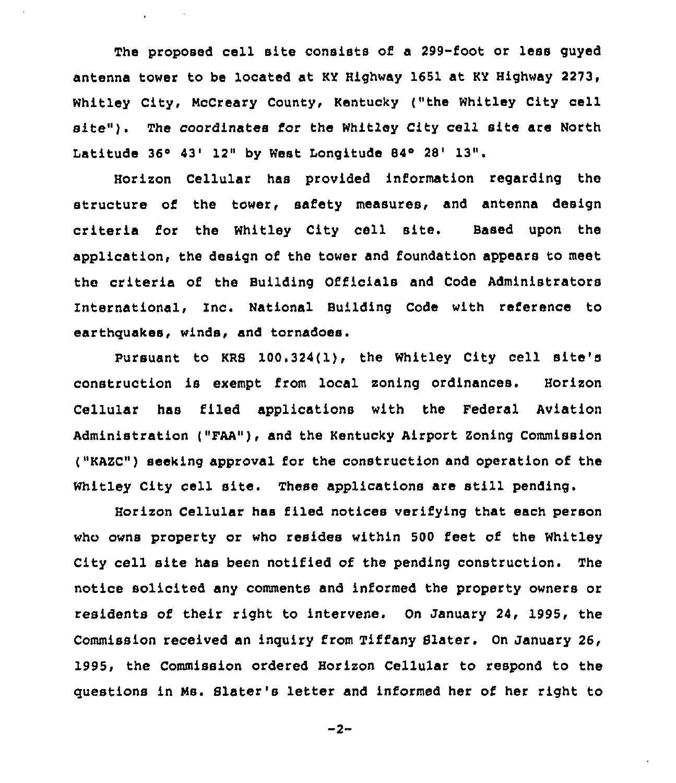The proposed cell site consists of a 299-foot or less guyed antenna tower to be located at KY Highway 1651 at KY Highway 2273, Whitley City, NcCreary County, Kentucky ("the Whitley City cell site"). The coordinates for the Whitley City cell site are North Latitude 36° 43' 12" by West Longitude 84° 28' 13".

Horizon Cellular has provided information regarding the structure of the tower, safety measures, and antenna design criteria for the Whitley City cell site. Based upon the application, the design of the tower and foundation appears to meet the criteria of the Building Officials and Code Administrators International, Inc. National Building Code with reference to earthquakes, winds, and tornadoes.

Pursuant to KRS 100.324(l), the Whitley City cell site's construction is exempt from local zoning ordinances. Horizon Cellular has filed applications with the Federal Aviation Administration ("FAA"), and the Kentucky Airport Zoning Commission ("KAZC") seeking approval for the construction and operation of the Whitley City cell site. These applications are still pending.

Horizon Cellular has filed notices verifying that each person who owns property or who resides within 500 feet of the Whitley City cell site has been notified of the pending construction. The notice solicited any comments and informed the property owners or residents of their right to intervene. On January 24, 1995, the Commission received an inquiry from Tiffany Sister. On January 26, 1995, the Commission ordered Horizon Cellular to respond to the questions in Ns. Slater's letter and informed her of her right to

 $-2-$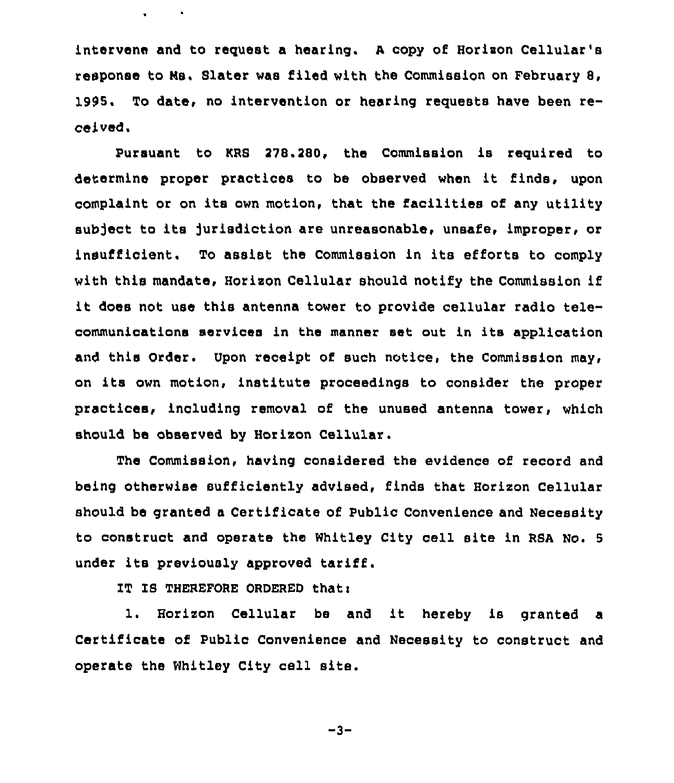intervene and to request a hearing. A copy of Horizon Cellular's response to Ns. Slater was filed with the Commission on February 8, 1995. To date, no intervention or hearing requests have been received.

Pursuant to KRS 278.280, the Commission is required to determine proper practices to be observed when it finds, upon complaint or on its own motion, that the facilities of any utility subject to its jurisdiction are unreasonable, unsafe, improper, or insufficient. To assist the Commission in its efforts to comply with this mandate, Horison Cellular should notify the Commission if it does not use this antenna tower to provide cellular radio telecommunications services in the manner set out in its application and this Order. Upon receipt of such notice, the Commission may, on its own motion, institute proceedings to consider the proper practices, including removal of the unused antenna tower, which should be observed by Horlson Cellular.

The Commission, having considered the evidence of record and being otherwise sufficiently advised, finds that Horison Cellular should be granted a Certificate of Public Convenience and Necessity to construct and operate the Whitley City cell site in RSA No. <sup>5</sup> under its previously approved tariff.

IT IS THEREFORE ORDERED that:

 $\blacksquare$ 

1. Horizon Cellular be and it hereby is granted a Certificate of Public Convenience and Necessity to construct and operate the Whitley City cell site.

 $-3-$